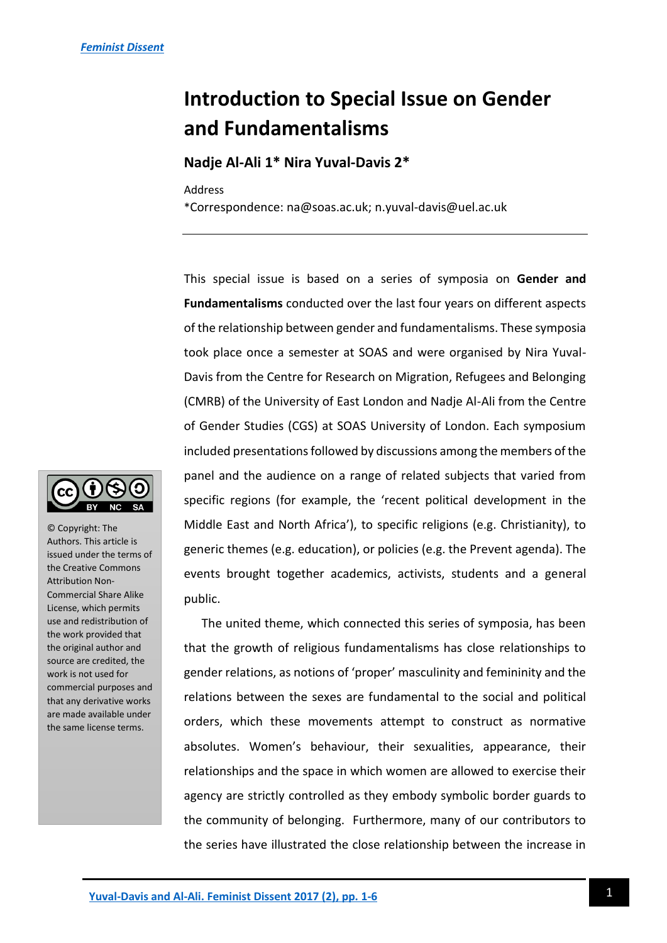## **Introduction to Special Issue on Gender and Fundamentalisms**

## **Nadje Al-Ali 1\* Nira Yuval-Davis 2\***

Address

\*Correspondence: na@soas.ac.uk; n.yuval-davis@uel.ac.uk

This special issue is based on a series of symposia on **Gender and Fundamentalisms** conducted over the last four years on different aspects of the relationship between gender and fundamentalisms. These symposia took place once a semester at SOAS and were organised by Nira Yuval-Davis from the Centre for Research on Migration, Refugees and Belonging (CMRB) of the University of East London and Nadje Al-Ali from the Centre of Gender Studies (CGS) at SOAS University of London. Each symposium included presentations followed by discussions among the members of the panel and the audience on a range of related subjects that varied from specific regions (for example, the 'recent political development in the Middle East and North Africa'), to specific religions (e.g. Christianity), to generic themes (e.g. education), or policies (e.g. the Prevent agenda). The events brought together academics, activists, students and a general public.

The united theme, which connected this series of symposia, has been that the growth of religious fundamentalisms has close relationships to gender relations, as notions of 'proper' masculinity and femininity and the relations between the sexes are fundamental to the social and political orders, which these movements attempt to construct as normative absolutes. Women's behaviour, their sexualities, appearance, their relationships and the space in which women are allowed to exercise their agency are strictly controlled as they embody symbolic border guards to the community of belonging. Furthermore, many of our contributors to the series have illustrated the close relationship between the increase in



© Copyright: The Authors. This article is issued under the terms of the Creative Commons Attribution Non-Commercial Share Alike License, which permits use and redistribution of the work provided that the original author and source are credited, the work is not used for commercial purposes and that any derivative works are made available under the same license terms.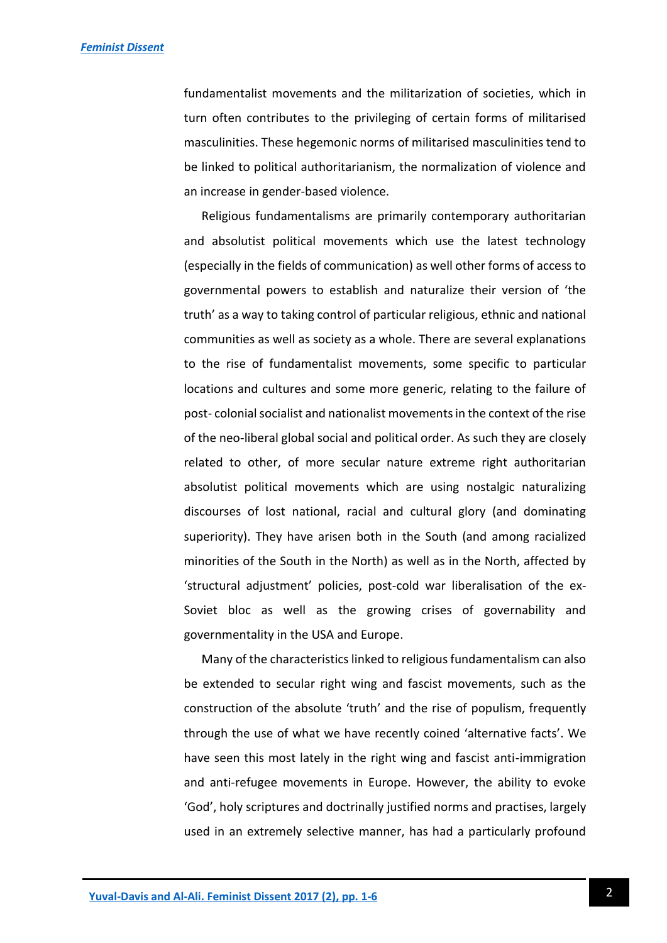fundamentalist movements and the militarization of societies, which in turn often contributes to the privileging of certain forms of militarised masculinities. These hegemonic norms of militarised masculinities tend to be linked to political authoritarianism, the normalization of violence and an increase in gender-based violence.

Religious fundamentalisms are primarily contemporary authoritarian and absolutist political movements which use the latest technology (especially in the fields of communication) as well other forms of access to governmental powers to establish and naturalize their version of 'the truth' as a way to taking control of particular religious, ethnic and national communities as well as society as a whole. There are several explanations to the rise of fundamentalist movements, some specific to particular locations and cultures and some more generic, relating to the failure of post- colonial socialist and nationalist movements in the context of the rise of the neo-liberal global social and political order. As such they are closely related to other, of more secular nature extreme right authoritarian absolutist political movements which are using nostalgic naturalizing discourses of lost national, racial and cultural glory (and dominating superiority). They have arisen both in the South (and among racialized minorities of the South in the North) as well as in the North, affected by 'structural adjustment' policies, post-cold war liberalisation of the ex-Soviet bloc as well as the growing crises of governability and governmentality in the USA and Europe.

Many of the characteristics linked to religious fundamentalism can also be extended to secular right wing and fascist movements, such as the construction of the absolute 'truth' and the rise of populism, frequently through the use of what we have recently coined 'alternative facts'. We have seen this most lately in the right wing and fascist anti-immigration and anti-refugee movements in Europe. However, the ability to evoke 'God', holy scriptures and doctrinally justified norms and practises, largely used in an extremely selective manner, has had a particularly profound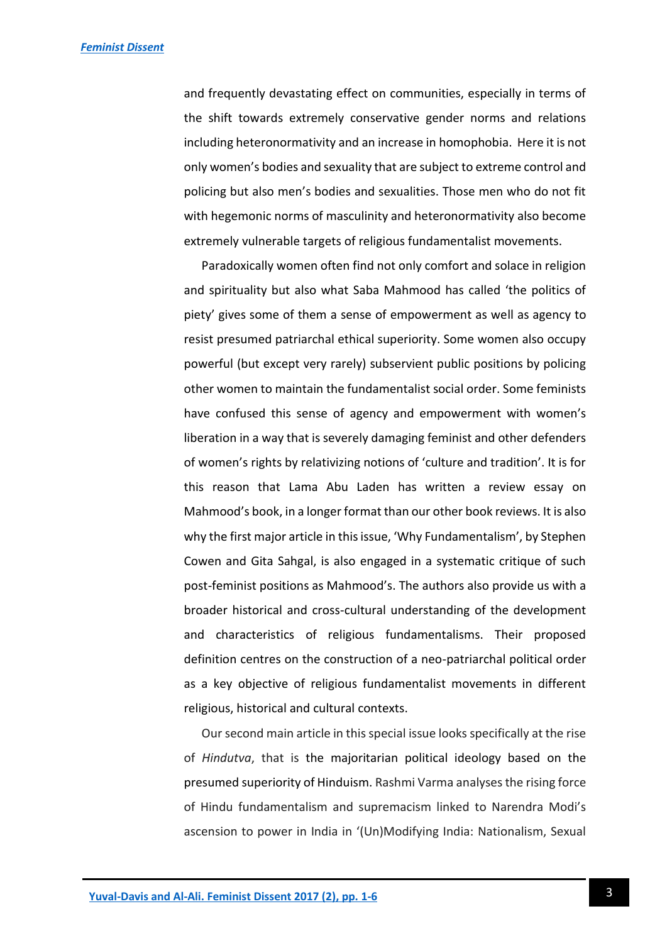and frequently devastating effect on communities, especially in terms of the shift towards extremely conservative gender norms and relations including heteronormativity and an increase in homophobia. Here it is not only women's bodies and sexuality that are subject to extreme control and policing but also men's bodies and sexualities. Those men who do not fit with hegemonic norms of masculinity and heteronormativity also become extremely vulnerable targets of religious fundamentalist movements.

Paradoxically women often find not only comfort and solace in religion and spirituality but also what Saba Mahmood has called 'the politics of piety' gives some of them a sense of empowerment as well as agency to resist presumed patriarchal ethical superiority. Some women also occupy powerful (but except very rarely) subservient public positions by policing other women to maintain the fundamentalist social order. Some feminists have confused this sense of agency and empowerment with women's liberation in a way that is severely damaging feminist and other defenders of women's rights by relativizing notions of 'culture and tradition'. It is for this reason that Lama Abu Laden has written a review essay on Mahmood's book, in a longer format than our other book reviews. It is also why the first major article in this issue, 'Why Fundamentalism', by Stephen Cowen and Gita Sahgal, is also engaged in a systematic critique of such post-feminist positions as Mahmood's. The authors also provide us with a broader historical and cross-cultural understanding of the development and characteristics of religious fundamentalisms. Their proposed definition centres on the construction of a neo-patriarchal political order as a key objective of religious fundamentalist movements in different religious, historical and cultural contexts.

Our second main article in this special issue looks specifically at the rise of *Hindutva*, that is the majoritarian political ideology based on the presumed superiority of Hinduism. Rashmi Varma analyses the rising force of Hindu fundamentalism and supremacism linked to Narendra Modi's ascension to power in India in '(Un)Modifying India: Nationalism, Sexual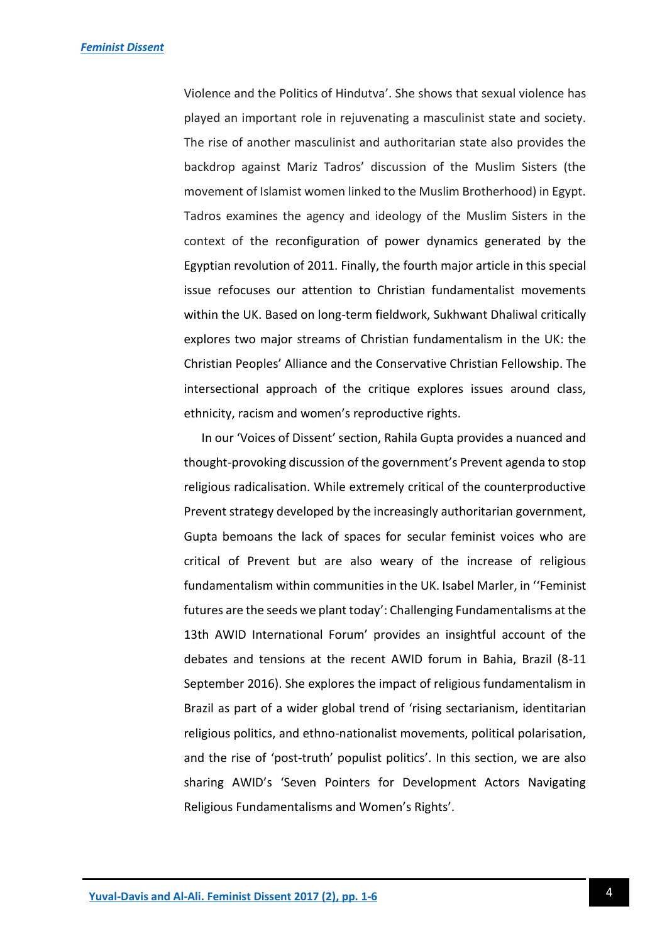Violence and the Politics of Hindutva'. She shows that sexual violence has played an important role in rejuvenating a masculinist state and society. The rise of another masculinist and authoritarian state also provides the backdrop against Mariz Tadros' discussion of the Muslim Sisters (the movement of Islamist women linked to the Muslim Brotherhood) in Egypt. Tadros examines the agency and ideology of the Muslim Sisters in the context of the reconfiguration of power dynamics generated by the Egyptian revolution of 2011. Finally, the fourth major article in this special issue refocuses our attention to Christian fundamentalist movements within the UK. Based on long-term fieldwork, Sukhwant Dhaliwal critically explores two major streams of Christian fundamentalism in the UK: the Christian Peoples' Alliance and the Conservative Christian Fellowship. The intersectional approach of the critique explores issues around class, ethnicity, racism and women's reproductive rights.

In our 'Voices of Dissent' section, Rahila Gupta provides a nuanced and thought-provoking discussion of the government's Prevent agenda to stop religious radicalisation. While extremely critical of the counterproductive Prevent strategy developed by the increasingly authoritarian government, Gupta bemoans the lack of spaces for secular feminist voices who are critical of Prevent but are also weary of the increase of religious fundamentalism within communities in the UK. Isabel Marler, in ''Feminist futures are the seeds we plant today': Challenging Fundamentalisms at the 13th AWID International Forum' provides an insightful account of the debates and tensions at the recent AWID forum in Bahia, Brazil (8-11 September 2016). She explores the impact of religious fundamentalism in Brazil as part of a wider global trend of 'rising sectarianism, identitarian religious politics, and ethno-nationalist movements, political polarisation, and the rise of 'post-truth' populist politics'. In this section, we are also sharing AWID's 'Seven Pointers for Development Actors Navigating Religious Fundamentalisms and Women's Rights'.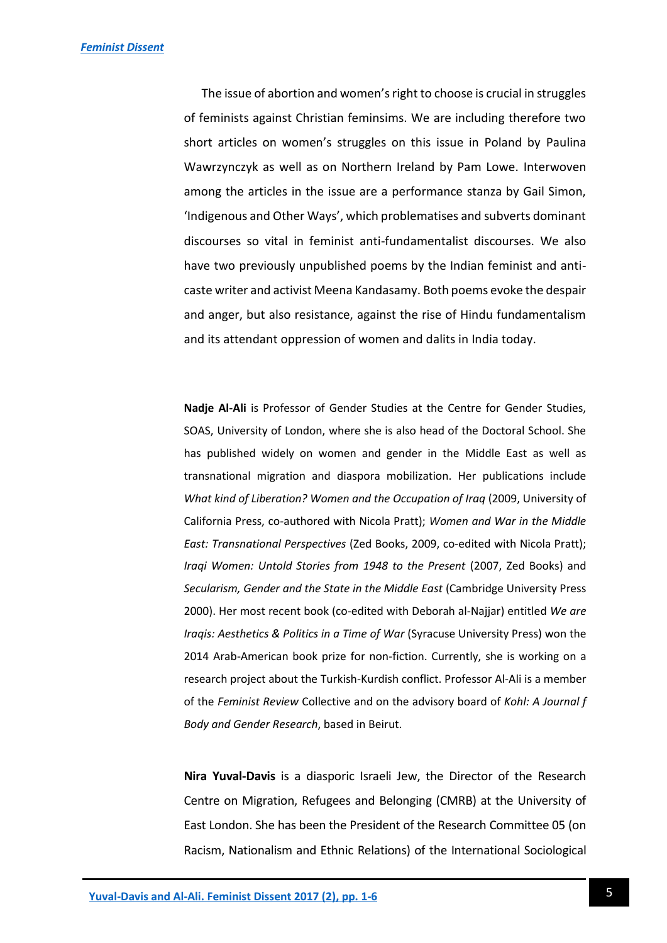The issue of abortion and women's right to choose is crucial in struggles of feminists against Christian feminsims. We are including therefore two short articles on women's struggles on this issue in Poland by Paulina Wawrzynczyk as well as on Northern Ireland by Pam Lowe. Interwoven among the articles in the issue are a performance stanza by Gail Simon, 'Indigenous and Other Ways', which problematises and subverts dominant discourses so vital in feminist anti-fundamentalist discourses. We also have two previously unpublished poems by the Indian feminist and anticaste writer and activist Meena Kandasamy. Both poems evoke the despair and anger, but also resistance, against the rise of Hindu fundamentalism and its attendant oppression of women and dalits in India today.

**Nadje Al-Ali** is Professor of Gender Studies at the Centre for Gender Studies, SOAS, University of London, where she is also head of the Doctoral School. She has published widely on women and gender in the Middle East as well as transnational migration and diaspora mobilization. Her publications include *What kind of Liberation? Women and the Occupation of Iraq* (2009, University of California Press, co-authored with Nicola Pratt); *Women and War in the Middle East: Transnational Perspectives* (Zed Books, 2009, co-edited with Nicola Pratt); *Iraqi Women: Untold Stories from 1948 to the Present* (2007, Zed Books) and *Secularism, Gender and the State in the Middle East* (Cambridge University Press 2000). Her most recent book (co-edited with Deborah al-Najjar) entitled *We are Iraqis: Aesthetics & Politics in a Time of War* (Syracuse University Press) won the 2014 Arab-American book prize for non-fiction. Currently, she is working on a research project about the Turkish-Kurdish conflict. Professor Al-Ali is a member of the *Feminist Review* Collective and on the advisory board of *Kohl: A Journal f Body and Gender Research*, based in Beirut.

**Nira Yuval-Davis** is a diasporic Israeli Jew, the Director of the Research Centre on Migration, Refugees and Belonging (CMRB) at the University of East London. She has been the President of the Research Committee 05 (on Racism, Nationalism and Ethnic Relations) of the International Sociological